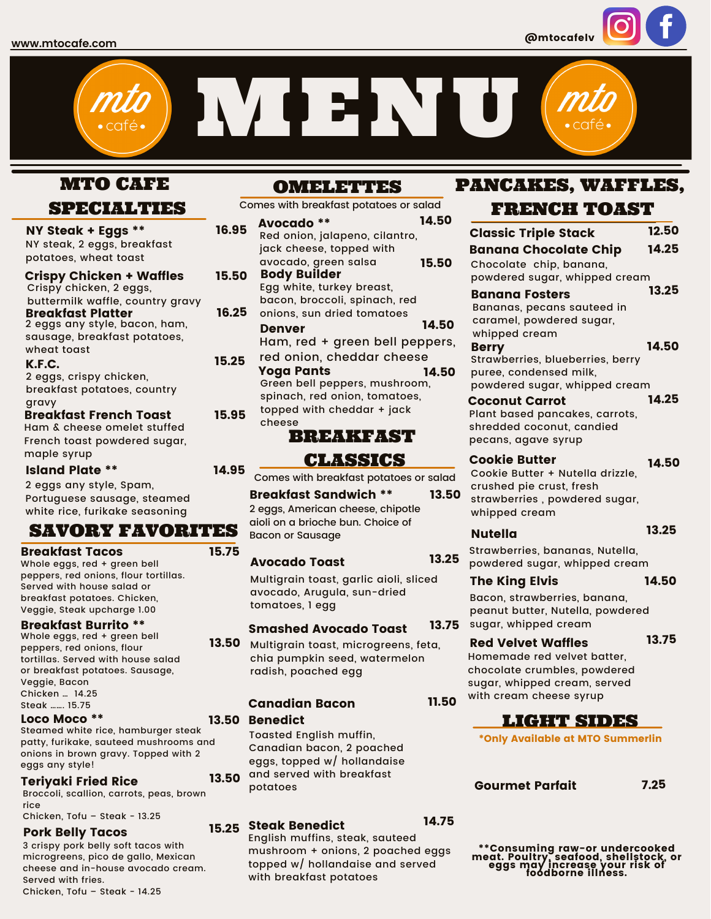@mtocafelv

MENU

# MTO CAFE

## SPECIALTIES

2 eggs any style, Spam, Portuguese sausage, steamed white rice, furikake seasoning SAVORY FAVORITES NY Steak + Eggs \*\* Crispy Chicken + Waffles Breakfast Platter K.F.C. NY steak, 2 eggs, breakfast potatoes, wheat toast Crispy chicken, 2 eggs, buttermilk waffle, country gravy 2 eggs any style, bacon, ham, sausage, breakfast potatoes, wheat toast 2 eggs, crispy chicken, breakfast potatoes, country gravy 16.95 16.25 15.25 Breakfast French Toast Ham & cheese omelet stuffed French toast powdered sugar, maple syrup 15.95 Island Plate \*\* 14.95 Whole eggs, red + green bell peppers, red onions, flour tortillas. Served with house salad or breakfast potatoes. Chicken, Veggie, Steak upcharge 1.00 Breakfast Tacos 15.75

#### **Breakfast Burrito \*\***<br>Whole eggs, red + green bell peppers, red onions, flour tortillas. Served with house salad or breakfast potatoes. Sausage, Veggie, Bacon Chicken … 14.25 Steak ……. 15.75

### Loco Moco \*\*

5 patty, furikake, sauteed mushrooms and 5 onions in brown gravy. Topped with 2 Steamed white rice, hamburger steak eggs any style!

#### Teriyaki Fried Rice

5 Broccoli, scallion, carrots, peas, brown rice Chicken, Tofu – Steak - 13.25

### Pork Belly Tacos

3 crispy pork belly soft tacos with microgreens, pico de gallo, Mexican cheese and in-house avocado cream. Served with fries. Chicken, Tofu – Steak - 14.25

### OMELETTES

Avocado \*\* Comes with breakfast potatoes or salad red onion, cheddar cheese Body Builder Denver Yoga Pants Red onion, jalapeno, cilantro, jack cheese, topped with avocado, green salsa Egg white, turkey breast, bacon, broccoli, spinach, red onions, sun dried tomatoes Ham, red + green bell peppers, Green bell peppers, mushroom, spinach, red onion, tomatoes, topped with cheddar + jack cheese 14.50 15.50 15.50 14.50 14.50

# BREAKFAST

### CLASSICS

Comes with breakfast potatoes or salad

Breakfast Sandwich \*\* 2 eggs, American cheese, chipotle aioli on a brioche bun. Choice of Bacon or Sausage 13.50

#### Avocado Toast

Multigrain toast, garlic aioli, sliced avocado, Arugula, sun-dried tomatoes, 1 egg

#### Smashed Avocado Toast 13.75

Multigrain toast, microgreens, feta, chia pumpkin seed, watermelon radish, poached egg 13.50

### Canadian Bacon

### 13.50 Benedict

Toasted English muffin, Canadian bacon, 2 poached eggs, topped w/ hollandaise and served with breakfast potatoes 13.50

# 15.25 Steak Benedict

English muffins, steak, sauteed mushroom + onions, 2 poached eggs topped w/ hollandaise and served with breakfast potatoes

# PANCAKES, WAFFLES,

# FRENCH TOAST

| <b>Classic Triple Stack</b>                                                                                                                         | 12.50 |
|-----------------------------------------------------------------------------------------------------------------------------------------------------|-------|
| <b>Banana Chocolate Chip</b><br>Chocolate chip, banana,                                                                                             | 14.25 |
| powdered sugar, whipped cream                                                                                                                       | 13.25 |
| <b>Banana Fosters</b><br>Bananas, pecans sauteed in<br>caramel, powdered sugar,<br>whipped cream                                                    |       |
| <b>Berry</b><br>Strawberries, blueberries, berry<br>puree, condensed milk,<br>powdered sugar, whipped cream                                         | 14.50 |
| <b>Coconut Carrot</b><br>Plant based pancakes, carrots,<br>shredded coconut, candied<br>pecans, agave syrup                                         | 14.25 |
| <b>Cookie Butter</b><br>Cookie Butter + Nutella drizzle,<br>crushed pie crust, fresh<br>strawberries, powdered sugar,<br>whipped cream              | 14.50 |
| <b>Nutella</b>                                                                                                                                      | 13.25 |
| Strawberries, bananas, Nutella,<br>powdered sugar, whipped cream                                                                                    |       |
| <b>The King Elvis</b>                                                                                                                               | 14.50 |
| Bacon, strawberries, banana,<br>peanut butter, Nutella, powdered<br>sugar, whipped cream                                                            |       |
| <b>Red Velvet Waffles</b><br>Homemade red velvet batter,<br>chocolate crumbles, powdered<br>sugar, whipped cream, served<br>with cream cheese syrup | 13.75 |

11.50

14.75

13.25

### LIGHT SIDES

\*Only Available at MTO Summerlin

Open Gourmet Parfait 7.25

\*\*Consuming raw-or undercooked meat. Poultry, seafood, shellstock, or eggs may increase your risk of foodborne illness.